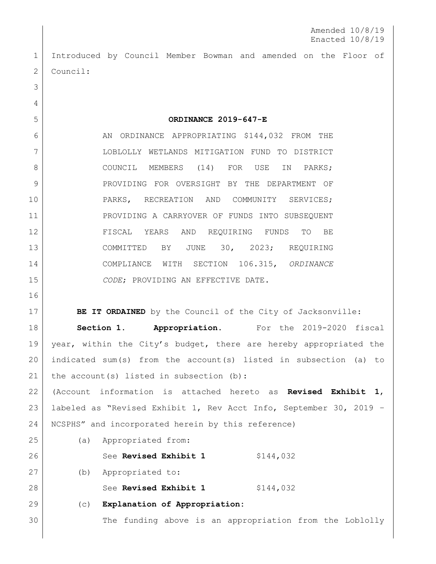Amended 10/8/19 Enacted 10/8/19

 Introduced by Council Member Bowman and amended on the Floor of 2 Council:

**ORDINANCE 2019-647-E**

6 AN ORDINANCE APPROPRIATING \$144,032 FROM THE LOBLOLLY WETLANDS MITIGATION FUND TO DISTRICT 8 COUNCIL MEMBERS (14) FOR USE IN PARKS; 9 PROVIDING FOR OVERSIGHT BY THE DEPARTMENT OF PARKS, RECREATION AND COMMUNITY SERVICES; PROVIDING A CARRYOVER OF FUNDS INTO SUBSEQUENT FISCAL YEARS AND REQUIRING FUNDS TO BE COMMITTED BY JUNE 30, 2023; REQUIRING COMPLIANCE WITH SECTION 106.315, *ORDINANCE CODE*; PROVIDING AN EFFECTIVE DATE.

**BE IT ORDAINED** by the Council of the City of Jacksonville: **Section 1. Appropriation.** For the 2019-2020 fiscal 19 year, within the City's budget, there are hereby appropriated the indicated sum(s) from the account(s) listed in subsection (a) to 21 | the account(s) listed in subsection (b): (Account information is attached hereto as **Revised Exhibit 1**,

 labeled as "Revised Exhibit 1, Rev Acct Info, September 30, 2019 – NCSPHS" and incorporated herein by this reference)

(a) Appropriated from:

(b) Appropriated to:

28 See **Revised Exhibit 1** \$144,032

26 See **Revised Exhibit 1** \$144,032

(c) **Explanation of Appropriation:**

30 The funding above is an appropriation from the Loblolly